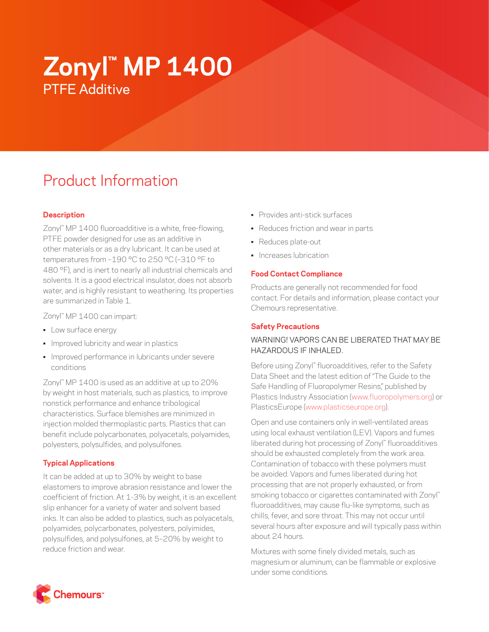# **Zonyl™ MP 1400** PTFE Additive

# Product Information

# **Description**

Zonyl™ MP 1400 fluoroadditive is a white, free-flowing, PTFE powder designed for use as an additive in other materials or as a dry lubricant. It can be used at temperatures from –190 °C to 250 °C (–310 °F to 480 °F), and is inert to nearly all industrial chemicals and solvents. It is a good electrical insulator, does not absorb water, and is highly resistant to weathering. Its properties are summarized in Table 1.

Zonyl™ MP 1400 can impart:

- Low surface energy
- Improved lubricity and wear in plastics
- Improved performance in lubricants under severe conditions

Zonyl™ MP 1400 is used as an additive at up to 20% by weight in host materials, such as plastics, to improve nonstick performance and enhance tribological characteristics. Surface blemishes are minimized in injection molded thermoplastic parts. Plastics that can benefit include polycarbonates, polyacetals, polyamides, polyesters, polysulfides, and polysulfones.

## **Typical Applications**

It can be added at up to 30% by weight to base elastomers to improve abrasion resistance and lower the coefficient of friction. At 1-3% by weight, it is an excellent slip enhancer for a variety of water and solvent based inks. It can also be added to plastics, such as polyacetals, polyamides, polycarbonates, polyesters, polyimides, polysulfides, and polysulfones, at 5–20% by weight to reduce friction and wear.

- Provides anti-stick surfaces
- Reduces friction and wear in parts
- Reduces plate-out
- Increases lubrication

#### **Food Contact Compliance**

Products are generally not recommended for food contact. For details and information, please contact your Chemours representative.

#### **Safety Precautions**

### WARNING! VAPORS CAN BE LIBERATED THAT MAY BE HAZARDOUS IF INHALED.

Before using Zonyl™ fluoroadditives, refer to the Safety Data Sheet and the latest edition of "The Guide to the Safe Handling of Fluoropolymer Resins," published by Plastics Industry Association [\(www.fluoropolymers.org](http://www.fluoropolymers.org)) or PlasticsEurope ([www.plasticseurope.org](http://www.plasticseurope.org)).

Open and use containers only in well-ventilated areas using local exhaust ventilation (LEV). Vapors and fumes liberated during hot processing of Zonyl™ fluoroadditives should be exhausted completely from the work area. Contamination of tobacco with these polymers must be avoided. Vapors and fumes liberated during hot processing that are not properly exhausted, or from smoking tobacco or cigarettes contaminated with Zonyl™ fluoroadditives, may cause flu-like symptoms, such as chills, fever, and sore throat. This may not occur until several hours after exposure and will typically pass within about 24 hours.

Mixtures with some finely divided metals, such as magnesium or aluminum, can be flammable or explosive under some conditions.